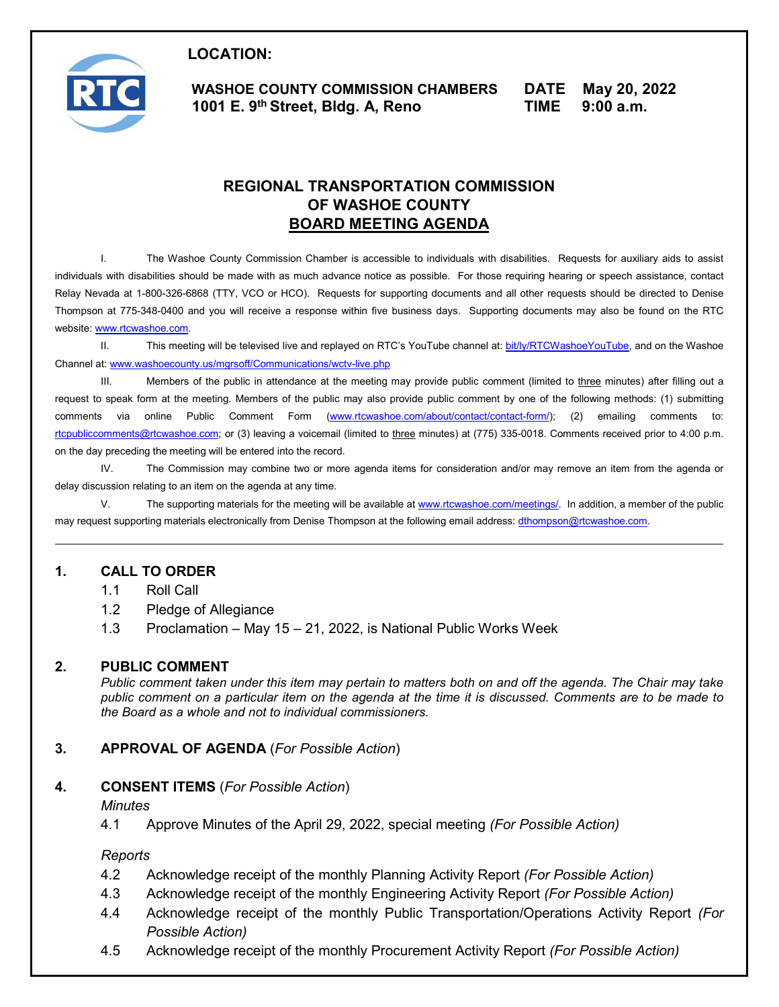

 **LOCATION: WASHOE COUNTY COMMISSION CHAMBERS DATE May 20, 2022 1001 E. 9th Street, Bldg. A, Reno TIME 9:00 a.m.** 

# **REGIONAL TRANSPORTATION COMMISSION OF WASHOE COUNTY BOARD MEETING AGENDA**

 I. The Washoe County Commission Chamber is accessible to individuals with disabilities. Requests for auxiliary aids to assist individuals with disabilities should be made with as much advance notice as possible. For those requiring hearing or speech assistance, contact Thompson at 775-348-0400 and you will receive a response within five business days. Supporting documents may also be found on the RTC Relay Nevada at 1-800-326-6868 (TTY, VCO or HCO). Requests for supporting documents and all other requests should be directed to Denise website: [www.rtcwashoe.com.](http://www.rtcwashoe.com/)

II. This meeting will be televised live and replayed on RTC's YouTube channel at: <u>bit/ly/RTCWashoeYouTube</u>, and on the Washoe Channel at[: www.washoecounty.us/mgrsoff/Communications/wctv-live.php](http://www.washoecounty.us/mgrsoff/Communications/wctv-live.php) 

III. Members of the public in attendance at the meeting may provide public comment (limited to <u>three</u> minutes) after filling out a request to speak form at the meeting. Members of the public may also provide public comment by one of the following methods: (1) submitting comments via online Public Comment Form (<u>www.rtcwashoe.com/about/contact/contact-form/);</u> (2) emailing comments to: on the day preceding the meeting will be entered into the record. [rtcpubliccomments@rtcwashoe.com;](mailto:rtcpubliccomments@rtcwashoe.com) or (3) leaving a voicemail (limited to three minutes) at (775) 335-0018. Comments received prior to 4:00 p.m.

IV. The Commission may combine two or more agenda items for consideration and/or may remove an item from the agenda or delay discussion relating to an item on the agenda at any time.

V. The supporting materials for the meeting will be available at <u>www.rtcwashoe.com/meetings/</u>. In addition, a member of the public may request supporting materials electronically from Denise Thompson at the following email address: <u>dthompson@rtcwashoe.com</u>.

### **1. CALL TO ORDER**

- 1.1 Roll Call
- 1.2 Pledge of Allegiance
- 1.3 Proclamation May 15 21, 2022, is National Public Works Week

### **2. PUBLIC COMMENT**

 *public comment on a particular item on the agenda at the time it is discussed. Comments are to be made to Public comment taken under this item may pertain to matters both on and off the agenda. The Chair may take the Board as a whole and not to individual commissioners.* 

### **3. APPROVAL OF AGENDA** (*For Possible Action*)

#### **4. CONSENT ITEMS** (*For Possible Action*)

#### *Minutes*

4.1 Approve Minutes of the April 29, 2022, special meeting *(For Possible Action)* 

#### *Reports*

- 4.2 Acknowledge receipt of the monthly Planning Activity Report *(For Possible Action)*
- 4.3 Acknowledge receipt of the monthly Engineering Activity Report *(For Possible Action)*
- 4.4 Acknowledge receipt of the monthly Public Transportation/Operations Activity Report *(For Possible Action)*
- 4.5 Acknowledge receipt of the monthly Procurement Activity Report *(For Possible Action)*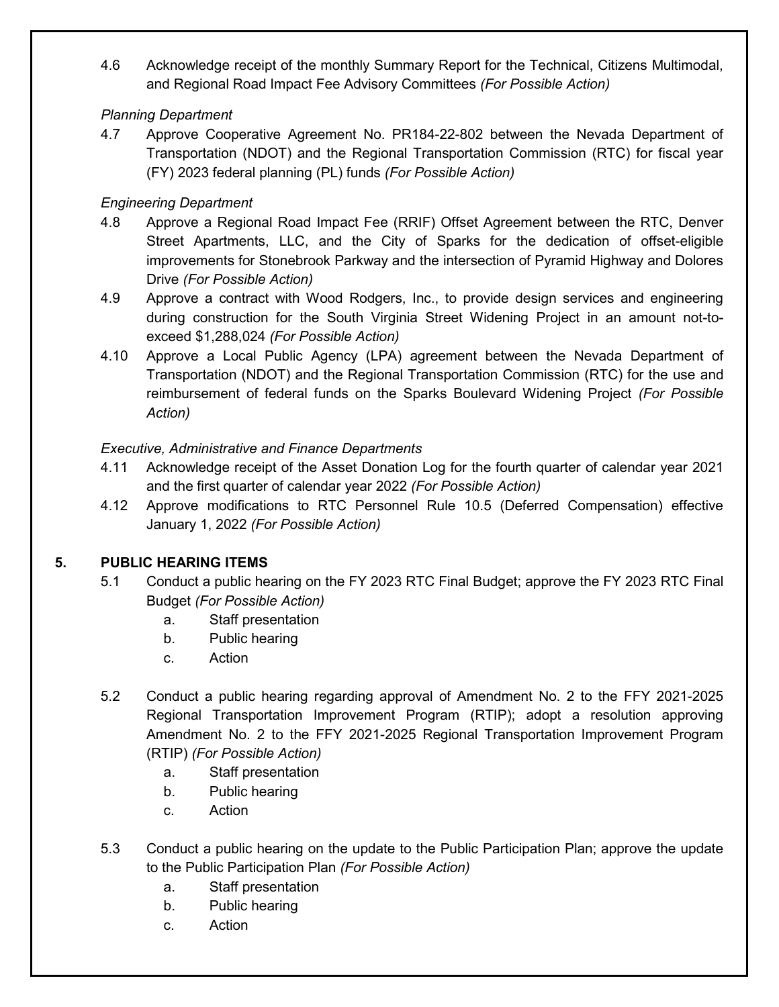4.6 Acknowledge receipt of the monthly Summary Report for the Technical, Citizens Multimodal, and Regional Road Impact Fee Advisory Committees *(For Possible Action)* 

## *Planning Department*

4.7 Approve Cooperative Agreement No. PR184-22-802 between the Nevada Department of Transportation (NDOT) and the Regional Transportation Commission (RTC) for fiscal year (FY) 2023 federal planning (PL) funds *(For Possible Action)* 

# *Engineering Department*

- 4.8 Approve a Regional Road Impact Fee (RRIF) Offset Agreement between the RTC, Denver Street Apartments, LLC, and the City of Sparks for the dedication of offset-eligible improvements for Stonebrook Parkway and the intersection of Pyramid Highway and Dolores Drive *(For Possible Action)*
- 4.9 Approve a contract with Wood Rodgers, Inc., to provide design services and engineering during construction for the South Virginia Street Widening Project in an amount not-toexceed \$1,288,024 *(For Possible Action)*
- reimbursement of federal funds on the Sparks Boulevard Widening Project *(For Possible*  4.10 Approve a Local Public Agency (LPA) agreement between the Nevada Department of Transportation (NDOT) and the Regional Transportation Commission (RTC) for the use and *Action)*

# *Executive, Administrative and Finance Departments*

- 4.11 Acknowledge receipt of the Asset Donation Log for the fourth quarter of calendar year 2021 and the first quarter of calendar year 2022 *(For Possible Action)*
- 4.12 Approve modifications to RTC Personnel Rule 10.5 (Deferred Compensation) effective January 1, 2022 *(For Possible Action)*

# **5. PUBLIC HEARING ITEMS**

- 5.1 Conduct a public hearing on the FY 2023 RTC Final Budget; approve the FY 2023 RTC Final Budget *(For Possible Action)* 
	- a. Staff presentation
	- b. Public hearing
	- C. **Action**
- 5.2 Conduct a public hearing regarding approval of Amendment No. 2 to the FFY 2021-2025 Regional Transportation Improvement Program (RTIP); adopt a resolution approving Amendment No. 2 to the FFY 2021-2025 Regional Transportation Improvement Program (RTIP) *(For Possible Action)* 
	- a. Staff presentation
	- b. Public hearing
	- C. **Action**
- 5.3 Conduct a public hearing on the update to the Public Participation Plan; approve the update to the Public Participation Plan *(For Possible Action)* 
	- a. Staff presentation
	- b. Public hearing
	- C. **Action**